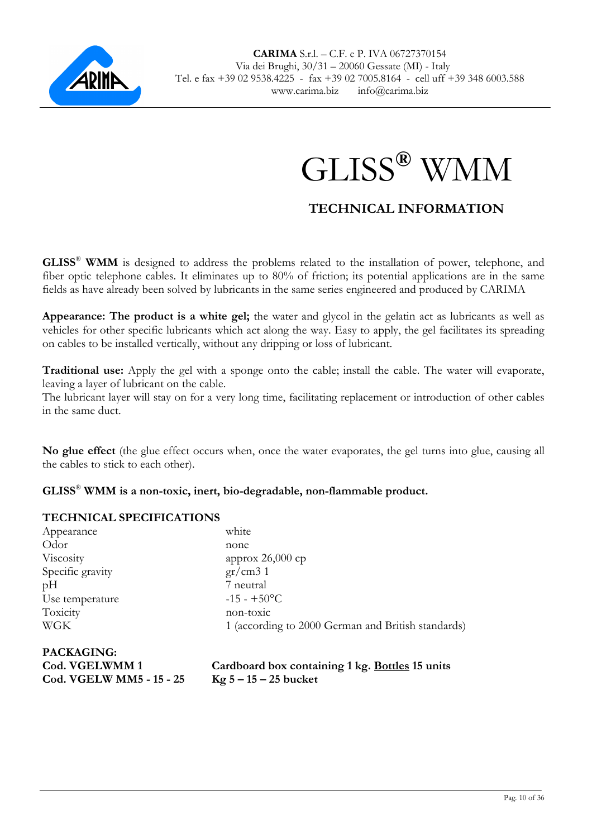



## **TECHNICAL INFORMATION**

**GLISS**®  **WMM** is designed to address the problems related to the installation of power, telephone, and fiber optic telephone cables. It eliminates up to 80% of friction; its potential applications are in the same fields as have already been solved by lubricants in the same series engineered and produced by CARIMA

**Appearance: The product is a white gel;** the water and glycol in the gelatin act as lubricants as well as vehicles for other specific lubricants which act along the way. Easy to apply, the gel facilitates its spreading on cables to be installed vertically, without any dripping or loss of lubricant.

**Traditional use:** Apply the gel with a sponge onto the cable; install the cable. The water will evaporate, leaving a layer of lubricant on the cable.

The lubricant layer will stay on for a very long time, facilitating replacement or introduction of other cables in the same duct.

**No glue effect** (the glue effect occurs when, once the water evaporates, the gel turns into glue, causing all the cables to stick to each other).

**GLISS**®  **WMM is a non-toxic, inert, bio-degradable, non-flammable product.** 

## **TECHNICAL SPECIFICATIONS**

| Appearance        | white                                              |
|-------------------|----------------------------------------------------|
| Odor              | none                                               |
| Viscosity         | approx $26,000$ cp                                 |
| Specific gravity  | gr/cm31                                            |
| pH                | 7 neutral                                          |
| Use temperature   | $-15 - +50$ °C                                     |
| Toxicity          | non-toxic                                          |
| <b>WGK</b>        | 1 (according to 2000 German and British standards) |
| <b>PACKAGING:</b> |                                                    |

| Cod. VGELWMM 1                  | Cardboard box containing 1 kg. Bottles 15 units |
|---------------------------------|-------------------------------------------------|
| <b>Cod. VGELW MM5 - 15 - 25</b> | $Kg 5 - 15 - 25$ bucket                         |